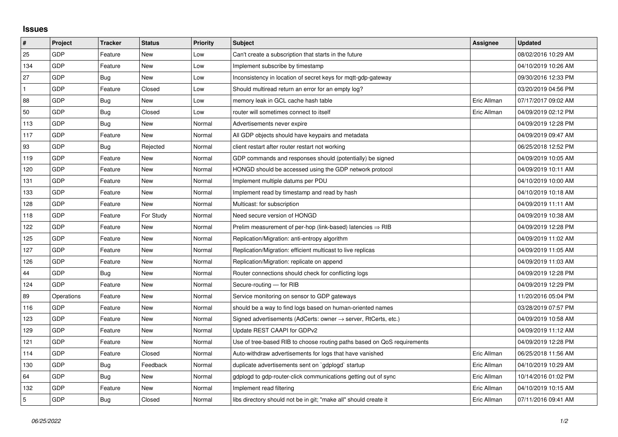## **Issues**

| #              | Project    | Tracker    | <b>Status</b> | <b>Priority</b> | <b>Subject</b>                                                             | <b>Assignee</b> | <b>Updated</b>      |
|----------------|------------|------------|---------------|-----------------|----------------------------------------------------------------------------|-----------------|---------------------|
| 25             | GDP        | Feature    | <b>New</b>    | Low             | Can't create a subscription that starts in the future                      |                 | 08/02/2016 10:29 AM |
| 134            | GDP        | Feature    | <b>New</b>    | Low             | Implement subscribe by timestamp                                           |                 | 04/10/2019 10:26 AM |
| 27             | GDP        | Bug        | New           | Low             | Inconsistency in location of secret keys for mgtt-gdp-gateway              |                 | 09/30/2016 12:33 PM |
| $\mathbf{1}$   | GDP        | Feature    | Closed        | Low             | Should multiread return an error for an empty log?                         |                 | 03/20/2019 04:56 PM |
| 88             | GDP        | <b>Bug</b> | <b>New</b>    | Low             | memory leak in GCL cache hash table                                        | Eric Allman     | 07/17/2017 09:02 AM |
| 50             | GDP        | Bug        | Closed        | Low             | router will sometimes connect to itself                                    | Eric Allman     | 04/09/2019 02:12 PM |
| 113            | GDP        | Bug        | <b>New</b>    | Normal          | Advertisements never expire                                                |                 | 04/09/2019 12:28 PM |
| 117            | GDP        | Feature    | New           | Normal          | All GDP objects should have keypairs and metadata                          |                 | 04/09/2019 09:47 AM |
| 93             | GDP        | Bug        | Rejected      | Normal          | client restart after router restart not working                            |                 | 06/25/2018 12:52 PM |
| 119            | GDP        | Feature    | <b>New</b>    | Normal          | GDP commands and responses should (potentially) be signed                  |                 | 04/09/2019 10:05 AM |
| 120            | GDP        | Feature    | <b>New</b>    | Normal          | HONGD should be accessed using the GDP network protocol                    |                 | 04/09/2019 10:11 AM |
| 131            | GDP        | Feature    | New           | Normal          | Implement multiple datums per PDU                                          |                 | 04/10/2019 10:00 AM |
| 133            | GDP        | Feature    | <b>New</b>    | Normal          | Implement read by timestamp and read by hash                               |                 | 04/10/2019 10:18 AM |
| 128            | GDP        | Feature    | New           | Normal          | Multicast: for subscription                                                |                 | 04/09/2019 11:11 AM |
| 118            | GDP        | Feature    | For Study     | Normal          | Need secure version of HONGD                                               |                 | 04/09/2019 10:38 AM |
| 122            | GDP        | Feature    | <b>New</b>    | Normal          | Prelim measurement of per-hop (link-based) latencies $\Rightarrow$ RIB     |                 | 04/09/2019 12:28 PM |
| 125            | GDP        | Feature    | New           | Normal          | Replication/Migration: anti-entropy algorithm                              |                 | 04/09/2019 11:02 AM |
| 127            | GDP        | Feature    | New           | Normal          | Replication/Migration: efficient multicast to live replicas                |                 | 04/09/2019 11:05 AM |
| 126            | GDP        | Feature    | New           | Normal          | Replication/Migration: replicate on append                                 |                 | 04/09/2019 11:03 AM |
| 44             | GDP        | Bug        | New           | Normal          | Router connections should check for conflicting logs                       |                 | 04/09/2019 12:28 PM |
| 124            | GDP        | Feature    | New           | Normal          | Secure-routing - for RIB                                                   |                 | 04/09/2019 12:29 PM |
| 89             | Operations | Feature    | New           | Normal          | Service monitoring on sensor to GDP gateways                               |                 | 11/20/2016 05:04 PM |
| 116            | GDP        | Feature    | New           | Normal          | should be a way to find logs based on human-oriented names                 |                 | 03/28/2019 07:57 PM |
| 123            | GDP        | Feature    | New           | Normal          | Signed advertisements (AdCerts: owner $\rightarrow$ server, RtCerts, etc.) |                 | 04/09/2019 10:58 AM |
| 129            | GDP        | Feature    | New           | Normal          | Update REST CAAPI for GDPv2                                                |                 | 04/09/2019 11:12 AM |
| 121            | GDP        | Feature    | New           | Normal          | Use of tree-based RIB to choose routing paths based on QoS requirements    |                 | 04/09/2019 12:28 PM |
| 114            | GDP        | Feature    | Closed        | Normal          | Auto-withdraw advertisements for logs that have vanished                   | Eric Allman     | 06/25/2018 11:56 AM |
| 130            | GDP        | Bug        | Feedback      | Normal          | duplicate advertisements sent on `gdplogd` startup                         | Eric Allman     | 04/10/2019 10:29 AM |
| 64             | GDP        | Bug        | New           | Normal          | gdplogd to gdp-router-click communications getting out of sync             | Eric Allman     | 10/14/2016 01:02 PM |
| 132            | GDP        | Feature    | New           | Normal          | Implement read filtering                                                   | Eric Allman     | 04/10/2019 10:15 AM |
| $\overline{5}$ | GDP        | Bug        | Closed        | Normal          | libs directory should not be in git; "make all" should create it           | Eric Allman     | 07/11/2016 09:41 AM |